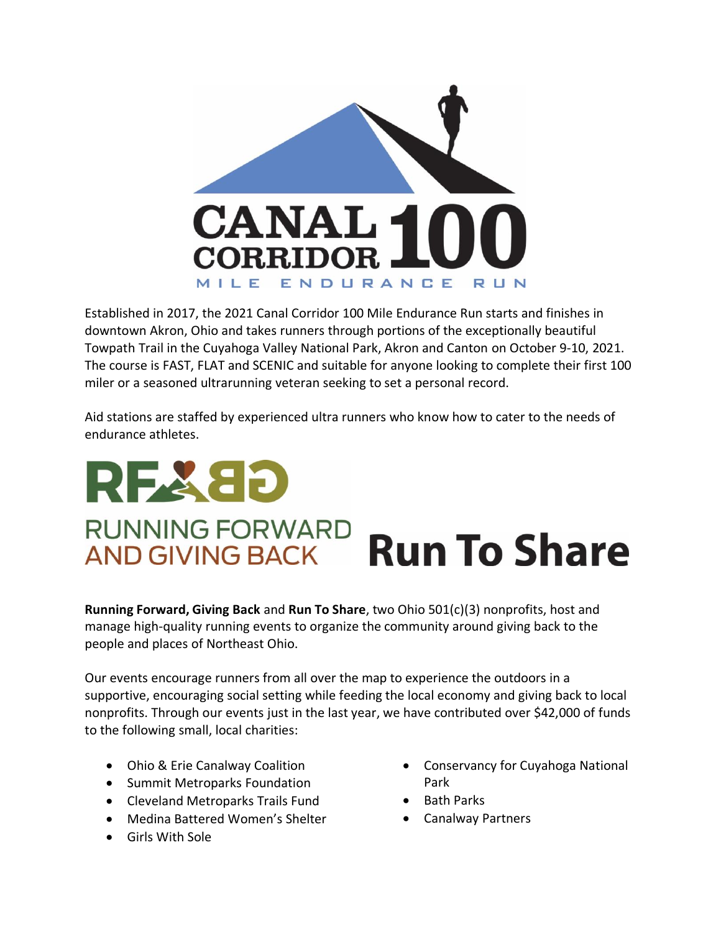

Established in 2017, the 2021 Canal Corridor 100 Mile Endurance Run starts and finishes in downtown Akron, Ohio and takes runners through portions of the exceptionally beautiful Towpath Trail in the Cuyahoga Valley National Park, Akron and Canton on October 9-10, 2021. The course is FAST, FLAT and SCENIC and suitable for anyone looking to complete their first 100 miler or a seasoned ultrarunning veteran seeking to set a personal record.

Aid stations are staffed by experienced ultra runners who know how to cater to the needs of endurance athletes.

## REXED **RUNNING FORWARD** AND GIVING BACK Run To Share

**Running Forward, Giving Back** and **Run To Share**, two Ohio 501(c)(3) nonprofits, host and manage high-quality running events to organize the community around giving back to the people and places of Northeast Ohio.

Our events encourage runners from all over the map to experience the outdoors in a supportive, encouraging social setting while feeding the local economy and giving back to local nonprofits. Through our events just in the last year, we have contributed over \$42,000 of funds to the following small, local charities:

- Ohio & Erie Canalway Coalition
- Summit Metroparks Foundation
- Cleveland Metroparks Trails Fund
- Medina Battered Women's Shelter
- Girls With Sole
- Conservancy for Cuyahoga National Park
- Bath Parks
- Canalway Partners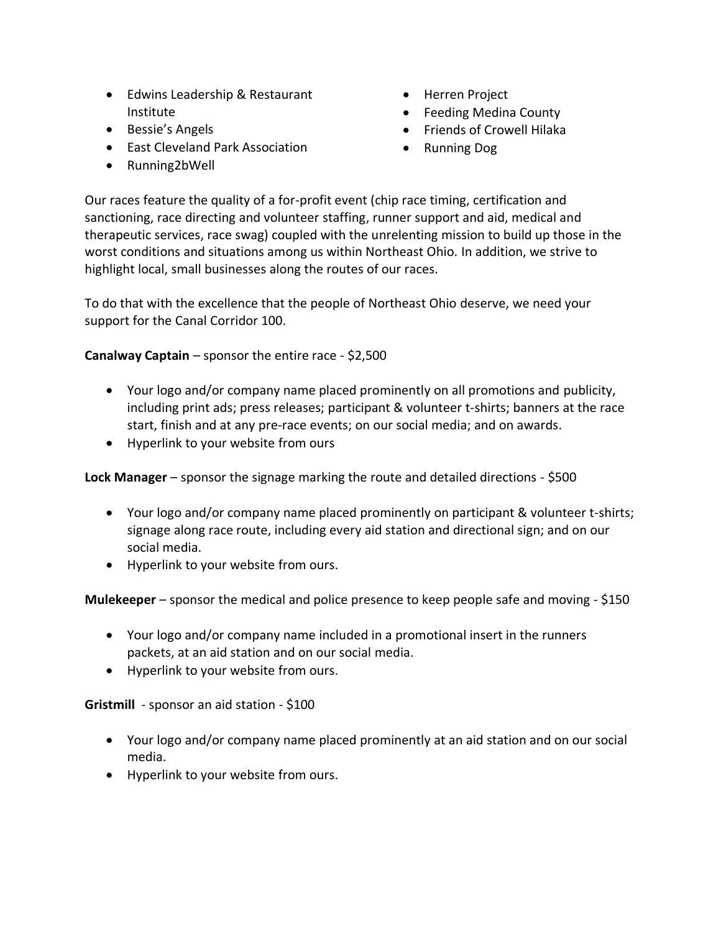- Edwins Leadership & Restaurant Institute
- Bessie's Angels
- East Cleveland Park Association
- Running2bWell
- Herren Project
- Feeding Medina County
- Friends of Crowell Hilaka
- Running Dog

Our races feature the quality of a for-profit event (chip race timing, certification and sanctioning, race directing and volunteer staffing, runner support and aid, medical and therapeutic services, race swag) coupled with the unrelenting mission to build up those in the worst conditions and situations among us within Northeast Ohio. In addition, we strive to highlight local, small businesses along the routes of our races.

To do that with the excellence that the people of Northeast Ohio deserve, we need your support for the Canal Corridor 100.

**Canalway Captain** – sponsor the entire race - \$2,500

- Your logo and/or company name placed prominently on all promotions and publicity, including print ads; press releases; participant & volunteer t-shirts; banners at the race start, finish and at any pre-race events; on our social media; and on awards.
- Hyperlink to your website from ours

**Lock Manager** – sponsor the signage marking the route and detailed directions - \$500

- Your logo and/or company name placed prominently on participant & volunteer t-shirts; signage along race route, including every aid station and directional sign; and on our social media.
- Hyperlink to your website from ours.

**Mulekeeper** – sponsor the medical and police presence to keep people safe and moving - \$150

- Your logo and/or company name included in a promotional insert in the runners packets, at an aid station and on our social media.
- Hyperlink to your website from ours.

**Gristmill** - sponsor an aid station - \$100

- Your logo and/or company name placed prominently at an aid station and on our social media.
- Hyperlink to your website from ours.